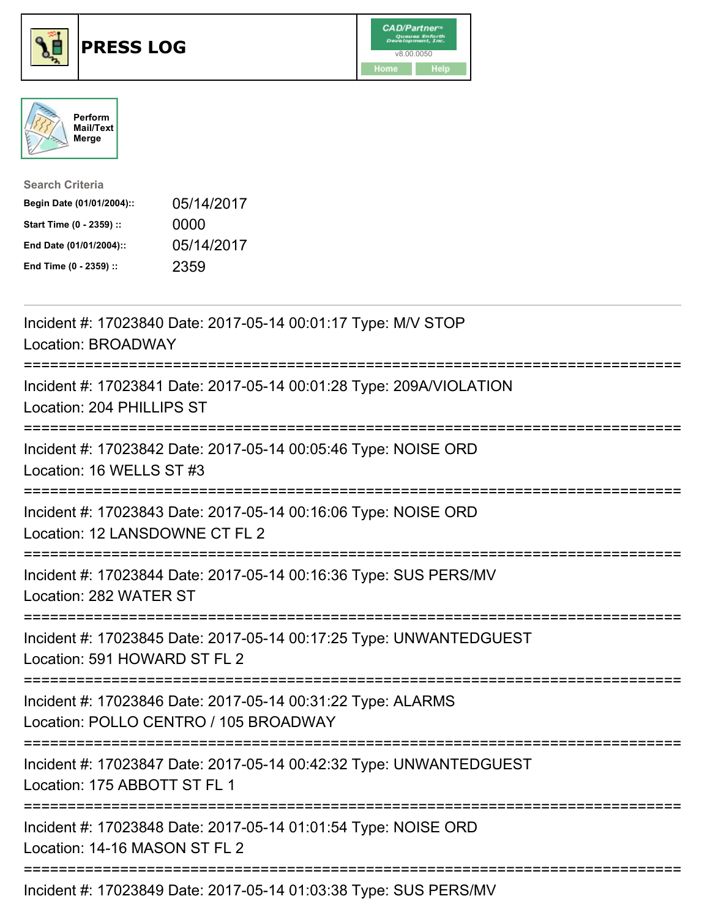





| <b>Search Criteria</b>    |            |
|---------------------------|------------|
| Begin Date (01/01/2004):: | 05/14/2017 |
| Start Time (0 - 2359) ::  | 0000       |
| End Date (01/01/2004)::   | 05/14/2017 |
| End Time (0 - 2359) ::    | 2359       |

| Incident #: 17023840 Date: 2017-05-14 00:01:17 Type: M/V STOP<br>Location: BROADWAY                                               |
|-----------------------------------------------------------------------------------------------------------------------------------|
| Incident #: 17023841 Date: 2017-05-14 00:01:28 Type: 209A/VIOLATION<br>Location: 204 PHILLIPS ST                                  |
| Incident #: 17023842 Date: 2017-05-14 00:05:46 Type: NOISE ORD<br>Location: 16 WELLS ST #3                                        |
| Incident #: 17023843 Date: 2017-05-14 00:16:06 Type: NOISE ORD<br>Location: 12 LANSDOWNE CT FL 2<br>;==========================   |
| Incident #: 17023844 Date: 2017-05-14 00:16:36 Type: SUS PERS/MV<br>Location: 282 WATER ST<br>:================================== |
| Incident #: 17023845 Date: 2017-05-14 00:17:25 Type: UNWANTEDGUEST<br>Location: 591 HOWARD ST FL 2                                |
| Incident #: 17023846 Date: 2017-05-14 00:31:22 Type: ALARMS<br>Location: POLLO CENTRO / 105 BROADWAY                              |
| Incident #: 17023847 Date: 2017-05-14 00:42:32 Type: UNWANTEDGUEST<br>Location: 175 ABBOTT ST FL 1                                |
| Incident #: 17023848 Date: 2017-05-14 01:01:54 Type: NOISE ORD<br>Location: 14-16 MASON ST FL 2                                   |
|                                                                                                                                   |

Incident #: 17023849 Date: 2017-05-14 01:03:38 Type: SUS PERS/MV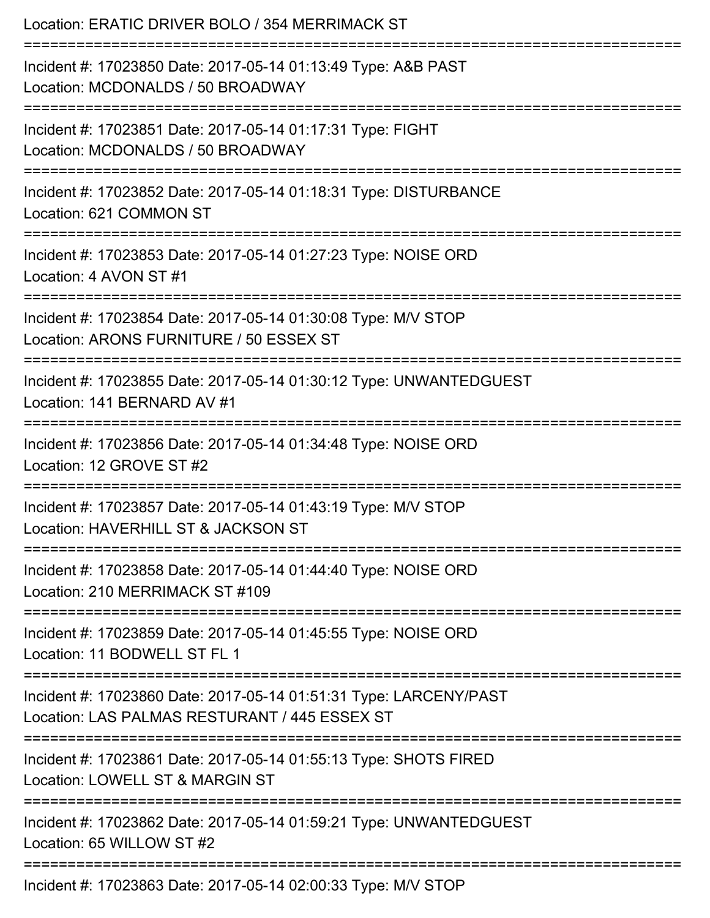| Location: ERATIC DRIVER BOLO / 354 MERRIMACK ST                                                                                |
|--------------------------------------------------------------------------------------------------------------------------------|
| Incident #: 17023850 Date: 2017-05-14 01:13:49 Type: A&B PAST<br>Location: MCDONALDS / 50 BROADWAY<br>======================== |
| Incident #: 17023851 Date: 2017-05-14 01:17:31 Type: FIGHT<br>Location: MCDONALDS / 50 BROADWAY                                |
| Incident #: 17023852 Date: 2017-05-14 01:18:31 Type: DISTURBANCE<br>Location: 621 COMMON ST                                    |
| Incident #: 17023853 Date: 2017-05-14 01:27:23 Type: NOISE ORD<br>Location: 4 AVON ST #1                                       |
| Incident #: 17023854 Date: 2017-05-14 01:30:08 Type: M/V STOP<br>Location: ARONS FURNITURE / 50 ESSEX ST                       |
| Incident #: 17023855 Date: 2017-05-14 01:30:12 Type: UNWANTEDGUEST<br>Location: 141 BERNARD AV #1                              |
| Incident #: 17023856 Date: 2017-05-14 01:34:48 Type: NOISE ORD<br>Location: 12 GROVE ST #2                                     |
| Incident #: 17023857 Date: 2017-05-14 01:43:19 Type: M/V STOP<br>Location: HAVERHILL ST & JACKSON ST                           |
| Incident #: 17023858 Date: 2017-05-14 01:44:40 Type: NOISE ORD<br>Location: 210 MERRIMACK ST #109                              |
| Incident #: 17023859 Date: 2017-05-14 01:45:55 Type: NOISE ORD<br>Location: 11 BODWELL ST FL 1                                 |
| Incident #: 17023860 Date: 2017-05-14 01:51:31 Type: LARCENY/PAST<br>Location: LAS PALMAS RESTURANT / 445 ESSEX ST             |
| Incident #: 17023861 Date: 2017-05-14 01:55:13 Type: SHOTS FIRED<br>Location: LOWELL ST & MARGIN ST                            |
| Incident #: 17023862 Date: 2017-05-14 01:59:21 Type: UNWANTEDGUEST<br>Location: 65 WILLOW ST #2                                |
| Incident #: 17023863 Date: 2017-05-14 02:00:33 Type: M/V STOP                                                                  |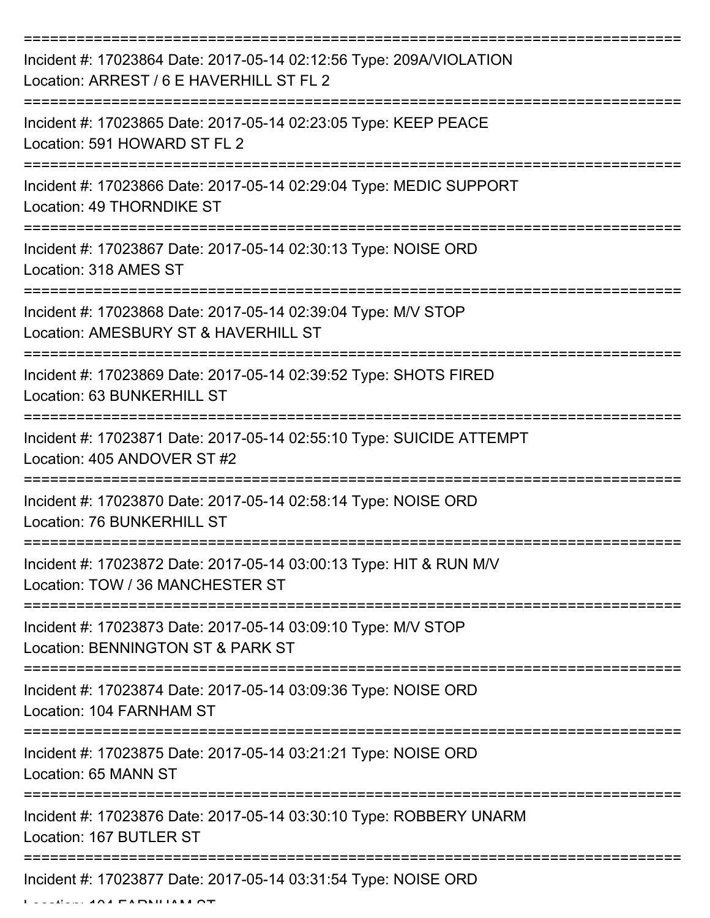| Incident #: 17023864 Date: 2017-05-14 02:12:56 Type: 209A/VIOLATION<br>Location: ARREST / 6 E HAVERHILL ST FL 2 |
|-----------------------------------------------------------------------------------------------------------------|
| Incident #: 17023865 Date: 2017-05-14 02:23:05 Type: KEEP PEACE<br>Location: 591 HOWARD ST FL 2                 |
| Incident #: 17023866 Date: 2017-05-14 02:29:04 Type: MEDIC SUPPORT<br>Location: 49 THORNDIKE ST                 |
| Incident #: 17023867 Date: 2017-05-14 02:30:13 Type: NOISE ORD<br>Location: 318 AMES ST                         |
| Incident #: 17023868 Date: 2017-05-14 02:39:04 Type: M/V STOP<br>Location: AMESBURY ST & HAVERHILL ST           |
| Incident #: 17023869 Date: 2017-05-14 02:39:52 Type: SHOTS FIRED<br>Location: 63 BUNKERHILL ST                  |
| Incident #: 17023871 Date: 2017-05-14 02:55:10 Type: SUICIDE ATTEMPT<br>Location: 405 ANDOVER ST #2             |
| Incident #: 17023870 Date: 2017-05-14 02:58:14 Type: NOISE ORD<br>Location: 76 BUNKERHILL ST                    |
| Incident #: 17023872 Date: 2017-05-14 03:00:13 Type: HIT & RUN M/V<br>Location: TOW / 36 MANCHESTER ST          |
| Incident #: 17023873 Date: 2017-05-14 03:09:10 Type: M/V STOP<br>Location: BENNINGTON ST & PARK ST              |
| Incident #: 17023874 Date: 2017-05-14 03:09:36 Type: NOISE ORD<br>Location: 104 FARNHAM ST                      |
| Incident #: 17023875 Date: 2017-05-14 03:21:21 Type: NOISE ORD<br>Location: 65 MANN ST                          |
| Incident #: 17023876 Date: 2017-05-14 03:30:10 Type: ROBBERY UNARM<br>Location: 167 BUTLER ST                   |
| Incident #: 17023877 Date: 2017-05-14 03:31:54 Type: NOISE ORD                                                  |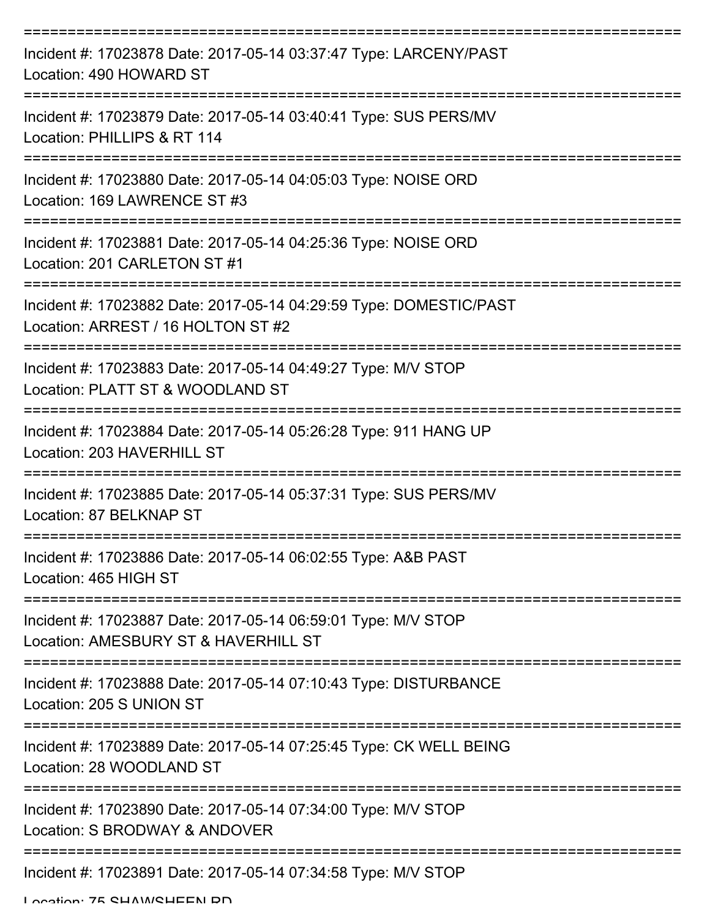| Incident #: 17023878 Date: 2017-05-14 03:37:47 Type: LARCENY/PAST<br>Location: 490 HOWARD ST             |
|----------------------------------------------------------------------------------------------------------|
| Incident #: 17023879 Date: 2017-05-14 03:40:41 Type: SUS PERS/MV<br>Location: PHILLIPS & RT 114          |
| Incident #: 17023880 Date: 2017-05-14 04:05:03 Type: NOISE ORD<br>Location: 169 LAWRENCE ST #3           |
| Incident #: 17023881 Date: 2017-05-14 04:25:36 Type: NOISE ORD<br>Location: 201 CARLETON ST#1            |
| Incident #: 17023882 Date: 2017-05-14 04:29:59 Type: DOMESTIC/PAST<br>Location: ARREST / 16 HOLTON ST #2 |
| Incident #: 17023883 Date: 2017-05-14 04:49:27 Type: M/V STOP<br>Location: PLATT ST & WOODLAND ST        |
| Incident #: 17023884 Date: 2017-05-14 05:26:28 Type: 911 HANG UP<br>Location: 203 HAVERHILL ST           |
| Incident #: 17023885 Date: 2017-05-14 05:37:31 Type: SUS PERS/MV<br>Location: 87 BELKNAP ST              |
| Incident #: 17023886 Date: 2017-05-14 06:02:55 Type: A&B PAST<br>Location: 465 HIGH ST                   |
| Incident #: 17023887 Date: 2017-05-14 06:59:01 Type: M/V STOP<br>Location: AMESBURY ST & HAVERHILL ST    |
| Incident #: 17023888 Date: 2017-05-14 07:10:43 Type: DISTURBANCE<br>Location: 205 S UNION ST             |
| Incident #: 17023889 Date: 2017-05-14 07:25:45 Type: CK WELL BEING<br>Location: 28 WOODLAND ST           |
| Incident #: 17023890 Date: 2017-05-14 07:34:00 Type: M/V STOP<br>Location: S BRODWAY & ANDOVER           |
| Incident #: 17023891 Date: 2017-05-14 07:34:58 Type: M/V STOP                                            |

Location: 75 CHAM/CHEEN DD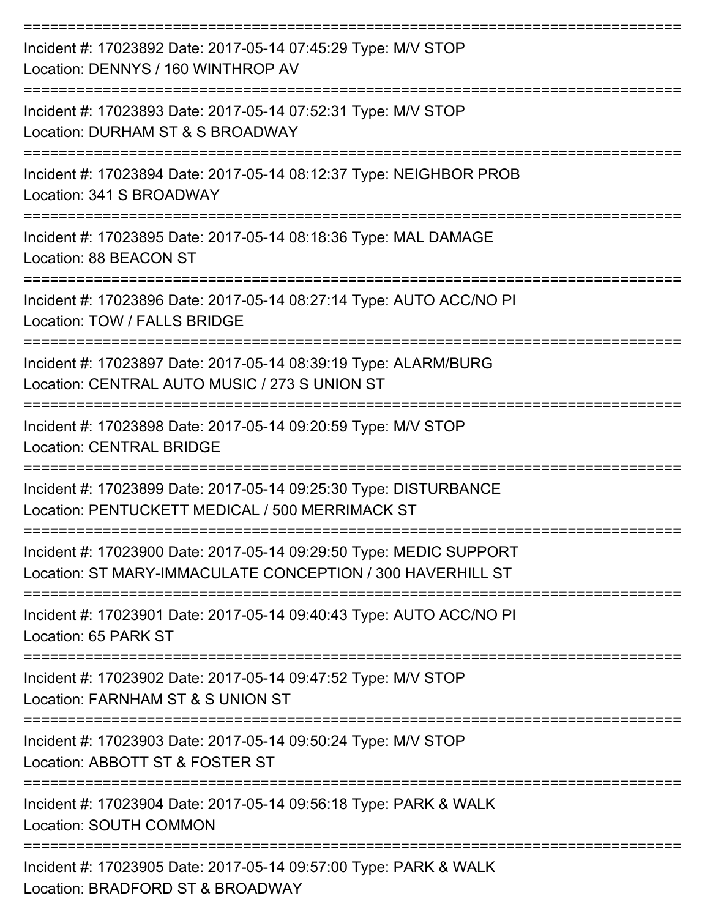| Incident #: 17023892 Date: 2017-05-14 07:45:29 Type: M/V STOP<br>Location: DENNYS / 160 WINTHROP AV                              |
|----------------------------------------------------------------------------------------------------------------------------------|
| Incident #: 17023893 Date: 2017-05-14 07:52:31 Type: M/V STOP<br>Location: DURHAM ST & S BROADWAY                                |
| Incident #: 17023894 Date: 2017-05-14 08:12:37 Type: NEIGHBOR PROB<br>Location: 341 S BROADWAY                                   |
| Incident #: 17023895 Date: 2017-05-14 08:18:36 Type: MAL DAMAGE<br>Location: 88 BEACON ST                                        |
| Incident #: 17023896 Date: 2017-05-14 08:27:14 Type: AUTO ACC/NO PI<br>Location: TOW / FALLS BRIDGE                              |
| Incident #: 17023897 Date: 2017-05-14 08:39:19 Type: ALARM/BURG<br>Location: CENTRAL AUTO MUSIC / 273 S UNION ST                 |
| Incident #: 17023898 Date: 2017-05-14 09:20:59 Type: M/V STOP<br><b>Location: CENTRAL BRIDGE</b>                                 |
| Incident #: 17023899 Date: 2017-05-14 09:25:30 Type: DISTURBANCE<br>Location: PENTUCKETT MEDICAL / 500 MERRIMACK ST              |
| Incident #: 17023900 Date: 2017-05-14 09:29:50 Type: MEDIC SUPPORT<br>Location: ST MARY-IMMACULATE CONCEPTION / 300 HAVERHILL ST |
| Incident #: 17023901 Date: 2017-05-14 09:40:43 Type: AUTO ACC/NO PI<br>Location: 65 PARK ST                                      |
| Incident #: 17023902 Date: 2017-05-14 09:47:52 Type: M/V STOP<br>Location: FARNHAM ST & S UNION ST                               |
| Incident #: 17023903 Date: 2017-05-14 09:50:24 Type: M/V STOP<br>Location: ABBOTT ST & FOSTER ST                                 |
| Incident #: 17023904 Date: 2017-05-14 09:56:18 Type: PARK & WALK<br><b>Location: SOUTH COMMON</b>                                |
| Incident #: 17023905 Date: 2017-05-14 09:57:00 Type: PARK & WALK<br>Location: BRADFORD ST & BROADWAY                             |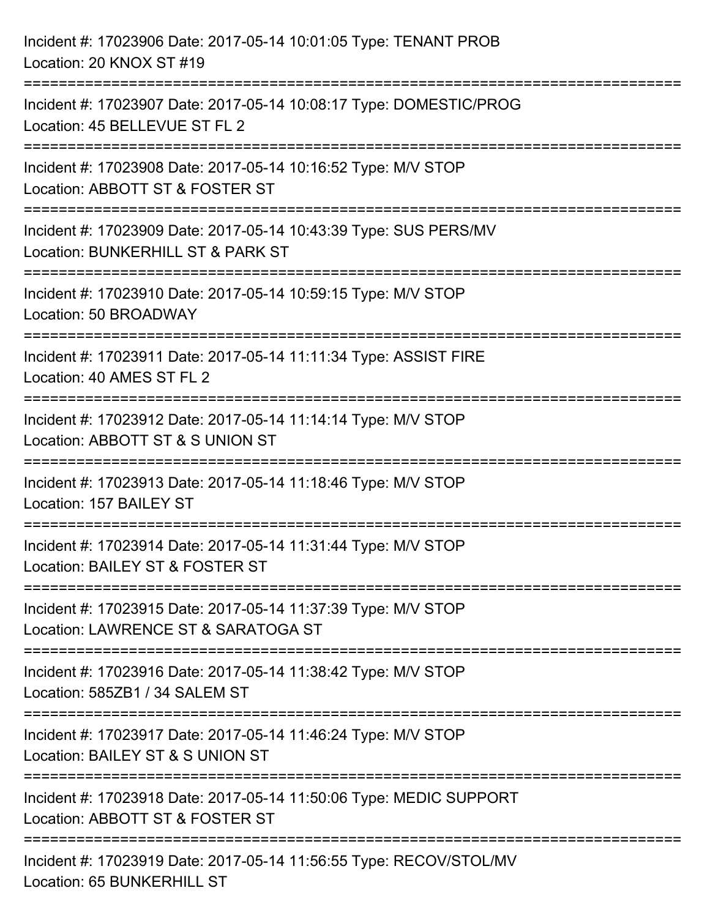| Incident #: 17023906 Date: 2017-05-14 10:01:05 Type: TENANT PROB<br>Location: 20 KNOX ST #19                                        |
|-------------------------------------------------------------------------------------------------------------------------------------|
| ============================<br>Incident #: 17023907 Date: 2017-05-14 10:08:17 Type: DOMESTIC/PROG<br>Location: 45 BELLEVUE ST FL 2 |
| Incident #: 17023908 Date: 2017-05-14 10:16:52 Type: M/V STOP<br>Location: ABBOTT ST & FOSTER ST<br>===========================     |
| Incident #: 17023909 Date: 2017-05-14 10:43:39 Type: SUS PERS/MV<br>Location: BUNKERHILL ST & PARK ST                               |
| Incident #: 17023910 Date: 2017-05-14 10:59:15 Type: M/V STOP<br>Location: 50 BROADWAY                                              |
| Incident #: 17023911 Date: 2017-05-14 11:11:34 Type: ASSIST FIRE<br>Location: 40 AMES ST FL 2                                       |
| Incident #: 17023912 Date: 2017-05-14 11:14:14 Type: M/V STOP<br>Location: ABBOTT ST & S UNION ST                                   |
| ;====================================<br>Incident #: 17023913 Date: 2017-05-14 11:18:46 Type: M/V STOP<br>Location: 157 BAILEY ST   |
| Incident #: 17023914 Date: 2017-05-14 11:31:44 Type: M/V STOP<br>Location: BAILEY ST & FOSTER ST                                    |
| Incident #: 17023915 Date: 2017-05-14 11:37:39 Type: M/V STOP<br>Location: LAWRENCE ST & SARATOGA ST                                |
| Incident #: 17023916 Date: 2017-05-14 11:38:42 Type: M/V STOP<br>Location: 585ZB1 / 34 SALEM ST                                     |
| Incident #: 17023917 Date: 2017-05-14 11:46:24 Type: M/V STOP<br>Location: BAILEY ST & S UNION ST                                   |
| Incident #: 17023918 Date: 2017-05-14 11:50:06 Type: MEDIC SUPPORT<br>Location: ABBOTT ST & FOSTER ST                               |
| Incident #: 17023919 Date: 2017-05-14 11:56:55 Type: RECOV/STOL/MV<br>Location: 65 BUNKERHILL ST                                    |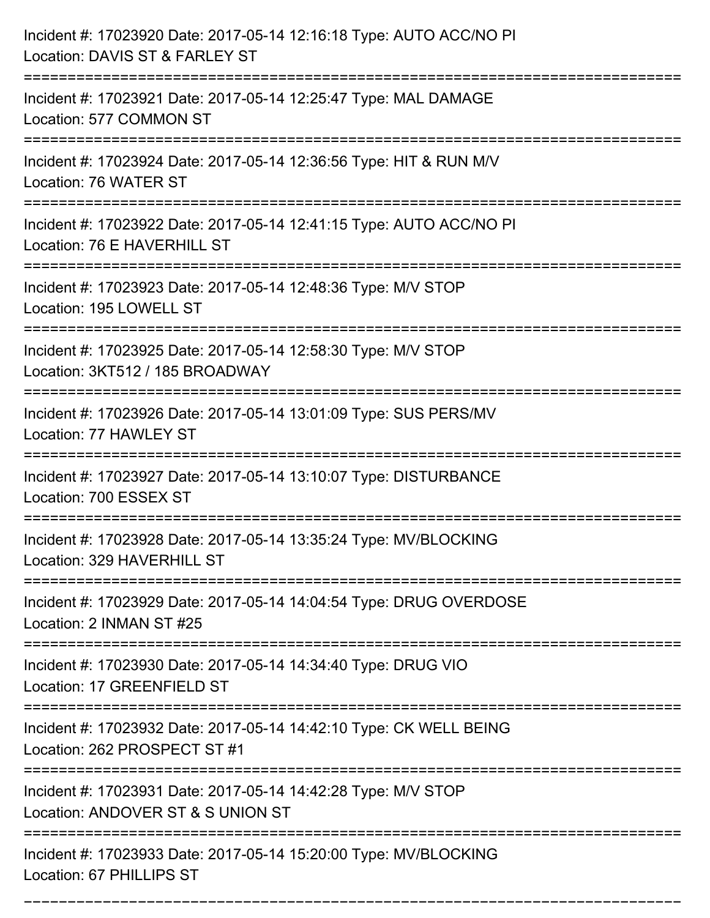| Incident #: 17023920 Date: 2017-05-14 12:16:18 Type: AUTO ACC/NO PI<br>Location: DAVIS ST & FARLEY ST                                |
|--------------------------------------------------------------------------------------------------------------------------------------|
| Incident #: 17023921 Date: 2017-05-14 12:25:47 Type: MAL DAMAGE<br>Location: 577 COMMON ST                                           |
| Incident #: 17023924 Date: 2017-05-14 12:36:56 Type: HIT & RUN M/V<br>Location: 76 WATER ST                                          |
| Incident #: 17023922 Date: 2017-05-14 12:41:15 Type: AUTO ACC/NO PI<br>Location: 76 E HAVERHILL ST                                   |
| Incident #: 17023923 Date: 2017-05-14 12:48:36 Type: M/V STOP<br>Location: 195 LOWELL ST                                             |
| Incident #: 17023925 Date: 2017-05-14 12:58:30 Type: M/V STOP<br>Location: 3KT512 / 185 BROADWAY                                     |
| Incident #: 17023926 Date: 2017-05-14 13:01:09 Type: SUS PERS/MV<br>Location: 77 HAWLEY ST                                           |
| Incident #: 17023927 Date: 2017-05-14 13:10:07 Type: DISTURBANCE<br>Location: 700 ESSEX ST                                           |
| Incident #: 17023928 Date: 2017-05-14 13:35:24 Type: MV/BLOCKING<br>Location: 329 HAVERHILL ST                                       |
| Incident #: 17023929 Date: 2017-05-14 14:04:54 Type: DRUG OVERDOSE<br>Location: 2 INMAN ST #25                                       |
| Incident #: 17023930 Date: 2017-05-14 14:34:40 Type: DRUG VIO<br>Location: 17 GREENFIELD ST                                          |
| Incident #: 17023932 Date: 2017-05-14 14:42:10 Type: CK WELL BEING<br>Location: 262 PROSPECT ST #1<br>------------------------------ |
| Incident #: 17023931 Date: 2017-05-14 14:42:28 Type: M/V STOP<br>Location: ANDOVER ST & S UNION ST                                   |
| Incident #: 17023933 Date: 2017-05-14 15:20:00 Type: MV/BLOCKING<br>Location: 67 PHILLIPS ST                                         |

===========================================================================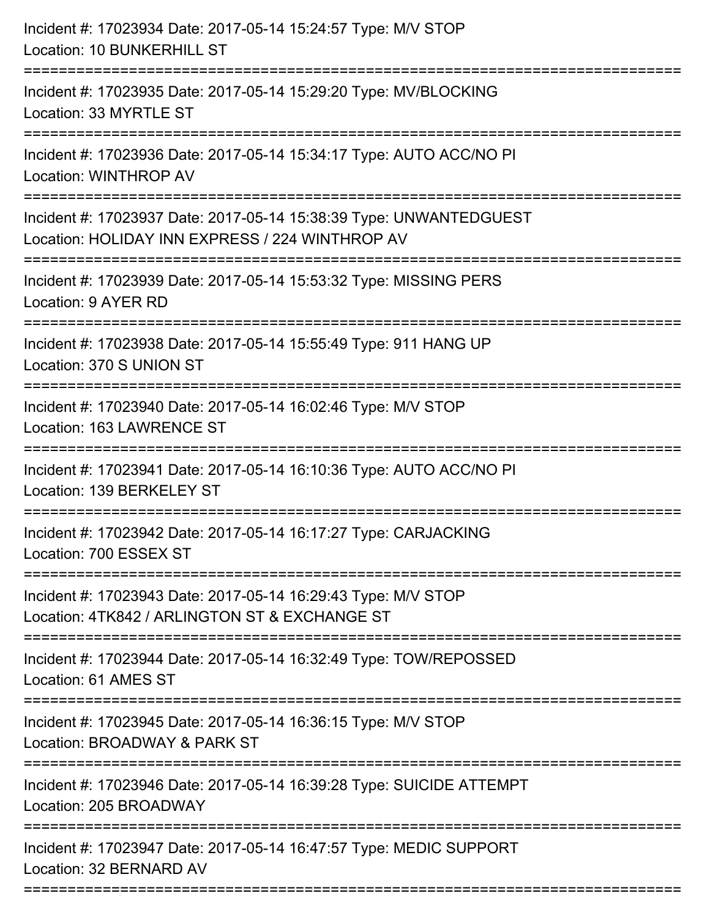| Incident #: 17023934 Date: 2017-05-14 15:24:57 Type: M/V STOP<br>Location: 10 BUNKERHILL ST                                             |
|-----------------------------------------------------------------------------------------------------------------------------------------|
| Incident #: 17023935 Date: 2017-05-14 15:29:20 Type: MV/BLOCKING<br>Location: 33 MYRTLE ST                                              |
| Incident #: 17023936 Date: 2017-05-14 15:34:17 Type: AUTO ACC/NO PI<br>Location: WINTHROP AV                                            |
| Incident #: 17023937 Date: 2017-05-14 15:38:39 Type: UNWANTEDGUEST<br>Location: HOLIDAY INN EXPRESS / 224 WINTHROP AV                   |
| Incident #: 17023939 Date: 2017-05-14 15:53:32 Type: MISSING PERS<br>Location: 9 AYER RD                                                |
| Incident #: 17023938 Date: 2017-05-14 15:55:49 Type: 911 HANG UP<br>Location: 370 S UNION ST                                            |
| Incident #: 17023940 Date: 2017-05-14 16:02:46 Type: M/V STOP<br>Location: 163 LAWRENCE ST                                              |
| Incident #: 17023941 Date: 2017-05-14 16:10:36 Type: AUTO ACC/NO PI<br>Location: 139 BERKELEY ST                                        |
| Incident #: 17023942 Date: 2017-05-14 16:17:27 Type: CARJACKING<br>Location: 700 ESSEX ST                                               |
| =====================<br>Incident #: 17023943 Date: 2017-05-14 16:29:43 Type: M/V STOP<br>Location: 4TK842 / ARLINGTON ST & EXCHANGE ST |
| Incident #: 17023944 Date: 2017-05-14 16:32:49 Type: TOW/REPOSSED<br>Location: 61 AMES ST                                               |
| Incident #: 17023945 Date: 2017-05-14 16:36:15 Type: M/V STOP<br>Location: BROADWAY & PARK ST                                           |
| Incident #: 17023946 Date: 2017-05-14 16:39:28 Type: SUICIDE ATTEMPT<br>Location: 205 BROADWAY                                          |
| Incident #: 17023947 Date: 2017-05-14 16:47:57 Type: MEDIC SUPPORT<br>Location: 32 BERNARD AV                                           |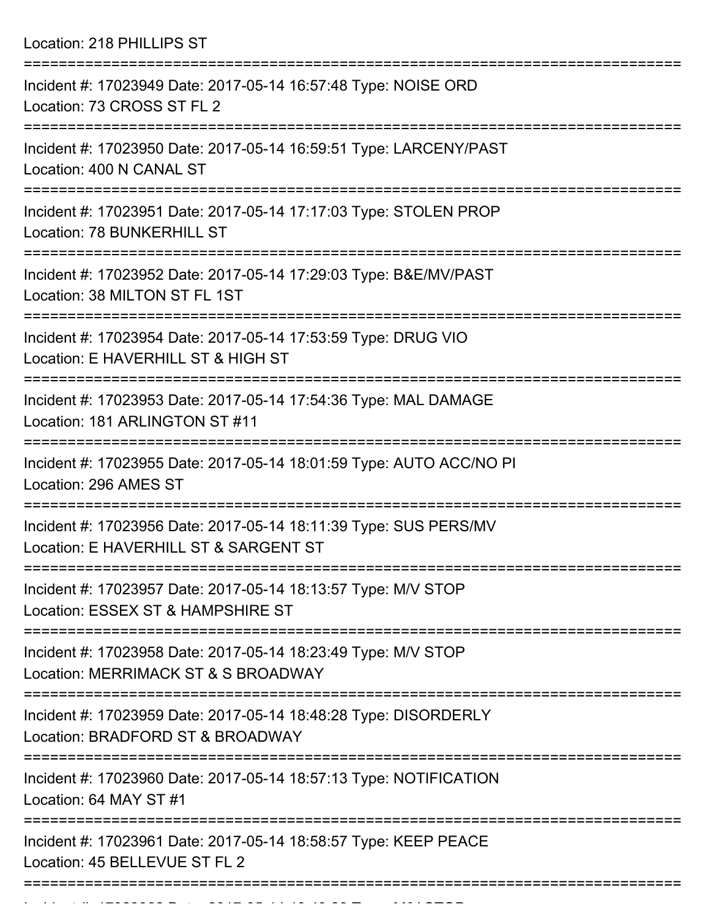Location: 218 PHILLIPS ST

| Incident #: 17023949 Date: 2017-05-14 16:57:48 Type: NOISE ORD<br>Location: 73 CROSS ST FL 2              |
|-----------------------------------------------------------------------------------------------------------|
| Incident #: 17023950 Date: 2017-05-14 16:59:51 Type: LARCENY/PAST<br>Location: 400 N CANAL ST             |
| Incident #: 17023951 Date: 2017-05-14 17:17:03 Type: STOLEN PROP<br>Location: 78 BUNKERHILL ST            |
| Incident #: 17023952 Date: 2017-05-14 17:29:03 Type: B&E/MV/PAST<br>Location: 38 MILTON ST FL 1ST         |
| Incident #: 17023954 Date: 2017-05-14 17:53:59 Type: DRUG VIO<br>Location: E HAVERHILL ST & HIGH ST       |
| Incident #: 17023953 Date: 2017-05-14 17:54:36 Type: MAL DAMAGE<br>Location: 181 ARLINGTON ST #11         |
| Incident #: 17023955 Date: 2017-05-14 18:01:59 Type: AUTO ACC/NO PI<br>Location: 296 AMES ST              |
| Incident #: 17023956 Date: 2017-05-14 18:11:39 Type: SUS PERS/MV<br>Location: E HAVERHILL ST & SARGENT ST |
| Incident #: 17023957 Date: 2017-05-14 18:13:57 Type: M/V STOP<br>Location: ESSEX ST & HAMPSHIRE ST        |
| Incident #: 17023958 Date: 2017-05-14 18:23:49 Type: M/V STOP<br>Location: MERRIMACK ST & S BROADWAY      |
| Incident #: 17023959 Date: 2017-05-14 18:48:28 Type: DISORDERLY<br>Location: BRADFORD ST & BROADWAY       |
| Incident #: 17023960 Date: 2017-05-14 18:57:13 Type: NOTIFICATION<br>Location: 64 MAY ST #1               |
| Incident #: 17023961 Date: 2017-05-14 18:58:57 Type: KEEP PEACE<br>Location: 45 BELLEVUE ST FL 2          |
|                                                                                                           |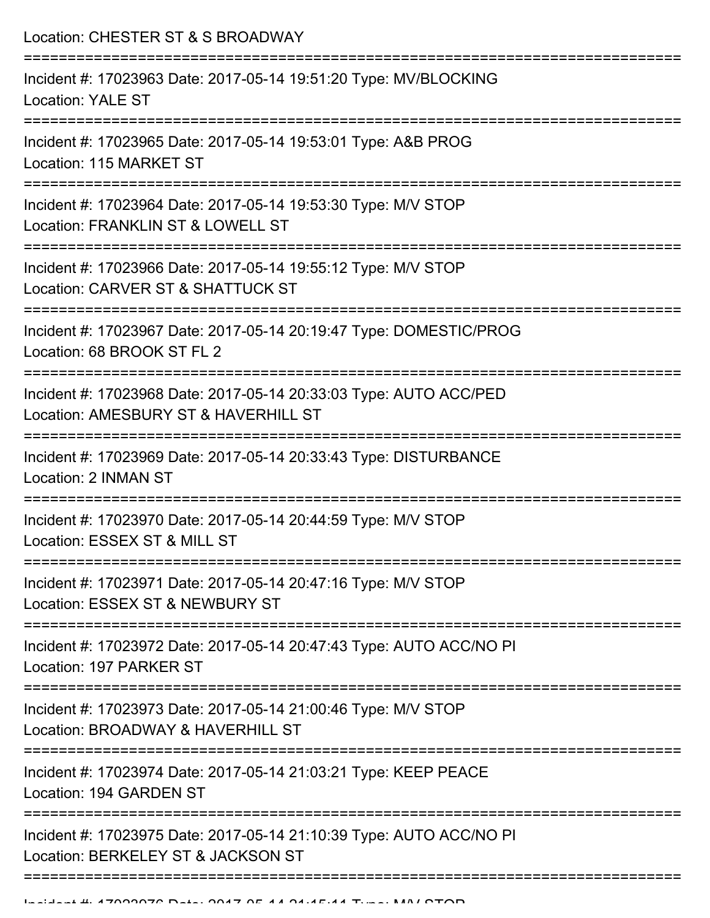Location: CHESTER ST & S BROADWAY

| Incident #: 17023963 Date: 2017-05-14 19:51:20 Type: MV/BLOCKING<br><b>Location: YALE ST</b>              |
|-----------------------------------------------------------------------------------------------------------|
| Incident #: 17023965 Date: 2017-05-14 19:53:01 Type: A&B PROG<br>Location: 115 MARKET ST                  |
| Incident #: 17023964 Date: 2017-05-14 19:53:30 Type: M/V STOP<br>Location: FRANKLIN ST & LOWELL ST        |
| Incident #: 17023966 Date: 2017-05-14 19:55:12 Type: M/V STOP<br>Location: CARVER ST & SHATTUCK ST        |
| Incident #: 17023967 Date: 2017-05-14 20:19:47 Type: DOMESTIC/PROG<br>Location: 68 BROOK ST FL 2          |
| Incident #: 17023968 Date: 2017-05-14 20:33:03 Type: AUTO ACC/PED<br>Location: AMESBURY ST & HAVERHILL ST |
| Incident #: 17023969 Date: 2017-05-14 20:33:43 Type: DISTURBANCE<br>Location: 2 INMAN ST                  |
| Incident #: 17023970 Date: 2017-05-14 20:44:59 Type: M/V STOP<br>Location: ESSEX ST & MILL ST             |
| Incident #: 17023971 Date: 2017-05-14 20:47:16 Type: M/V STOP<br>Location: ESSEX ST & NEWBURY ST          |
| Incident #: 17023972 Date: 2017-05-14 20:47:43 Type: AUTO ACC/NO PI<br>Location: 197 PARKER ST            |
| Incident #: 17023973 Date: 2017-05-14 21:00:46 Type: M/V STOP<br>Location: BROADWAY & HAVERHILL ST        |
| Incident #: 17023974 Date: 2017-05-14 21:03:21 Type: KEEP PEACE<br>Location: 194 GARDEN ST                |
| Incident #: 17023975 Date: 2017-05-14 21:10:39 Type: AUTO ACC/NO PI<br>Location: BERKELEY ST & JACKSON ST |
|                                                                                                           |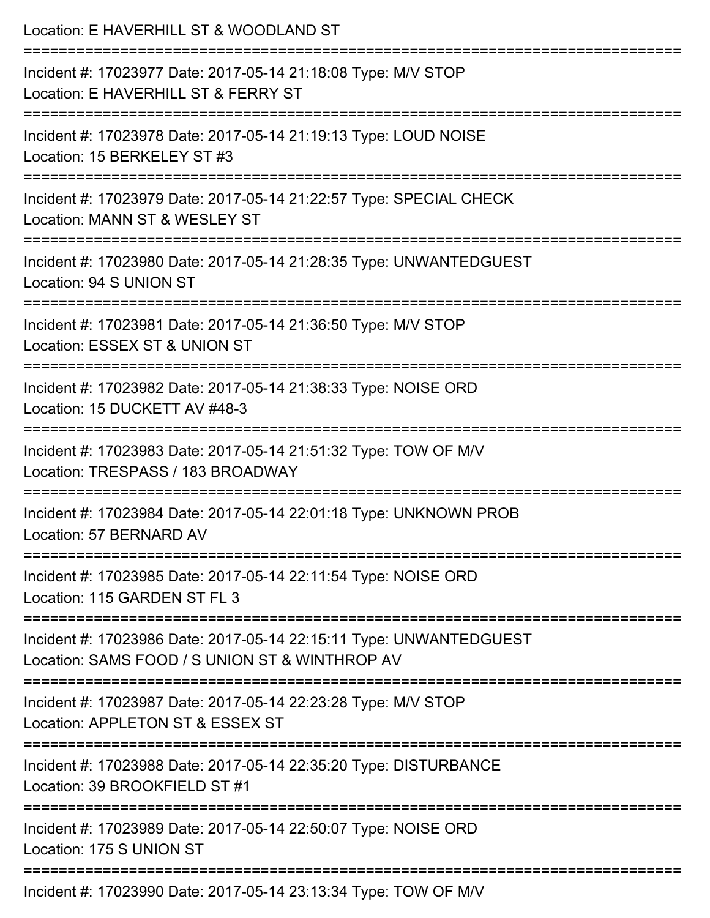| Location: E HAVERHILL ST & WOODLAND ST                                                                                         |
|--------------------------------------------------------------------------------------------------------------------------------|
| Incident #: 17023977 Date: 2017-05-14 21:18:08 Type: M/V STOP<br>Location: E HAVERHILL ST & FERRY ST<br>====================== |
| Incident #: 17023978 Date: 2017-05-14 21:19:13 Type: LOUD NOISE<br>Location: 15 BERKELEY ST #3                                 |
| Incident #: 17023979 Date: 2017-05-14 21:22:57 Type: SPECIAL CHECK<br>Location: MANN ST & WESLEY ST                            |
| Incident #: 17023980 Date: 2017-05-14 21:28:35 Type: UNWANTEDGUEST<br>Location: 94 S UNION ST                                  |
| Incident #: 17023981 Date: 2017-05-14 21:36:50 Type: M/V STOP<br>Location: ESSEX ST & UNION ST                                 |
| Incident #: 17023982 Date: 2017-05-14 21:38:33 Type: NOISE ORD<br>Location: 15 DUCKETT AV #48-3                                |
| Incident #: 17023983 Date: 2017-05-14 21:51:32 Type: TOW OF M/V<br>Location: TRESPASS / 183 BROADWAY                           |
| Incident #: 17023984 Date: 2017-05-14 22:01:18 Type: UNKNOWN PROB<br>Location: 57 BERNARD AV                                   |
| Incident #: 17023985 Date: 2017-05-14 22:11:54 Type: NOISE ORD<br>Location: 115 GARDEN ST FL 3                                 |
| Incident #: 17023986 Date: 2017-05-14 22:15:11 Type: UNWANTEDGUEST<br>Location: SAMS FOOD / S UNION ST & WINTHROP AV           |
| Incident #: 17023987 Date: 2017-05-14 22:23:28 Type: M/V STOP<br>Location: APPLETON ST & ESSEX ST                              |
| Incident #: 17023988 Date: 2017-05-14 22:35:20 Type: DISTURBANCE<br>Location: 39 BROOKFIELD ST #1                              |
| Incident #: 17023989 Date: 2017-05-14 22:50:07 Type: NOISE ORD<br>Location: 175 S UNION ST                                     |
| Incident #: 17023990 Date: 2017-05-14 23:13:34 Type: TOW OF M/V                                                                |